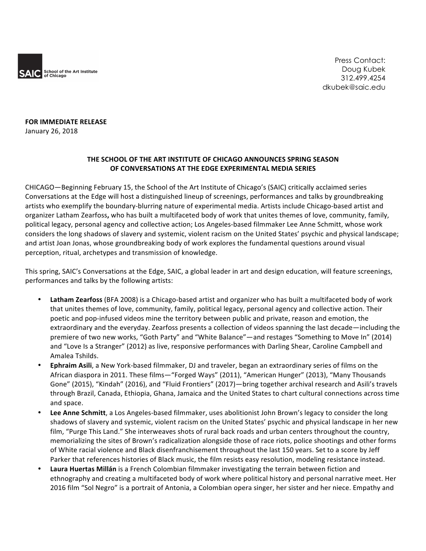

Press Contact: Doug Kubek 312.499.4254 dkubek@saic.edu

**FOR IMMEDIATE RELEASE** January 26, 2018

## **THE SCHOOL OF THE ART INSTITUTE OF CHICAGO ANNOUNCES SPRING SEASON OF CONVERSATIONS AT THE EDGE EXPERIMENTAL MEDIA SERIES**

CHICAGO—Beginning February 15, the School of the Art Institute of Chicago's (SAIC) critically acclaimed series Conversations at the Edge will host a distinguished lineup of screenings, performances and talks by groundbreaking artists who exemplify the boundary-blurring nature of experimental media. Artists include Chicago-based artist and organizer Latham Zearfoss, who has built a multifaceted body of work that unites themes of love, community, family, political legacy, personal agency and collective action; Los Angeles-based filmmaker Lee Anne Schmitt, whose work considers the long shadows of slavery and systemic, violent racism on the United States' psychic and physical landscape; and artist Joan Jonas, whose groundbreaking body of work explores the fundamental questions around visual perception, ritual, archetypes and transmission of knowledge.

This spring, SAIC's Conversations at the Edge, SAIC, a global leader in art and design education, will feature screenings, performances and talks by the following artists:

- Latham Zearfoss (BFA 2008) is a Chicago-based artist and organizer who has built a multifaceted body of work that unites themes of love, community, family, political legacy, personal agency and collective action. Their poetic and pop-infused videos mine the territory between public and private, reason and emotion, the extraordinary and the everyday. Zearfoss presents a collection of videos spanning the last decade—including the premiere of two new works, "Goth Party" and "White Balance"—and restages "Something to Move In" (2014) and "Love Is a Stranger" (2012) as live, responsive performances with Darling Shear, Caroline Campbell and Amalea Tshilds.
- **Ephraim Asili**, a New York-based filmmaker, DJ and traveler, began an extraordinary series of films on the African diaspora in 2011. These films—"Forged Ways" (2011), "American Hunger" (2013), "Many Thousands Gone" (2015), "Kindah" (2016), and "Fluid Frontiers" (2017)—bring together archival research and Asili's travels through Brazil, Canada, Ethiopia, Ghana, Jamaica and the United States to chart cultural connections across time and space.
- Lee Anne Schmitt, a Los Angeles-based filmmaker, uses abolitionist John Brown's legacy to consider the long shadows of slavery and systemic, violent racism on the United States' psychic and physical landscape in her new film, "Purge This Land." She interweaves shots of rural back roads and urban centers throughout the country, memorializing the sites of Brown's radicalization alongside those of race riots, police shootings and other forms of White racial violence and Black disenfranchisement throughout the last 150 years. Set to a score by Jeff Parker that references histories of Black music, the film resists easy resolution, modeling resistance instead.
- Laura Huertas Millán is a French Colombian filmmaker investigating the terrain between fiction and ethnography and creating a multifaceted body of work where political history and personal narrative meet. Her 2016 film "Sol Negro" is a portrait of Antonia, a Colombian opera singer, her sister and her niece. Empathy and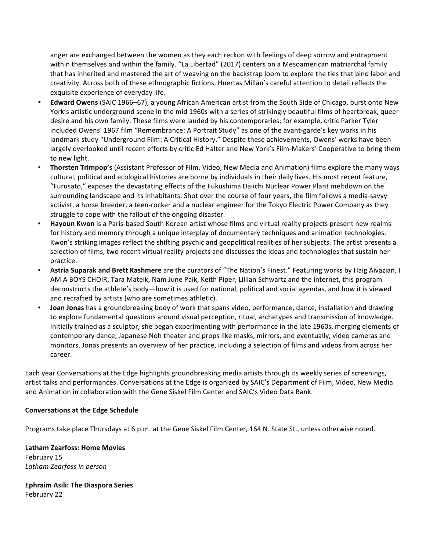anger are exchanged between the women as they each reckon with feelings of deep sorrow and entrapment within themselves and within the family. "La Libertad" (2017) centers on a Mesoamerican matriarchal family that has inherited and mastered the art of weaving on the backstrap loom to explore the ties that bind labor and creativity. Across both of these ethnographic fictions, Huertas Millán's careful attention to detail reflects the exquisite experience of everyday life.

- **Edward Owens** (SAIC 1966–67), a young African American artist from the South Side of Chicago, burst onto New York's artistic underground scene in the mid 1960s with a series of strikingly beautiful films of heartbreak, queer desire and his own family. These films were lauded by his contemporaries; for example, critic Parker Tyler included Owens' 1967 film "Remembrance: A Portrait Study" as one of the avant-garde's key works in his landmark study "Underground Film: A Critical History." Despite these achievements, Owens' works have been largely overlooked until recent efforts by critic Ed Halter and New York's Film-Makers' Cooperative to bring them to new light.
- **Thorsten Trimpop's** (Assistant Professor of Film, Video, New Media and Animation) films explore the many ways cultural, political and ecological histories are borne by individuals in their daily lives. His most recent feature, "Furusato," exposes the devastating effects of the Fukushima Daiichi Nuclear Power Plant meltdown on the surrounding landscape and its inhabitants. Shot over the course of four years, the film follows a media-savvy activist, a horse breeder, a teen-rocker and a nuclear engineer for the Tokyo Electric Power Company as they struggle to cope with the fallout of the ongoing disaster.
- **Hayoun Kwon** is a Paris-based South Korean artist whose films and virtual reality projects present new realms for history and memory through a unique interplay of documentary techniques and animation technologies. Kwon's striking images reflect the shifting psychic and geopolitical realities of her subjects. The artist presents a selection of films, two recent virtual reality projects and discusses the ideas and technologies that sustain her practice.
- Astria Suparak and Brett Kashmere are the curators of "The Nation's Finest." Featuring works by Haig Aivazian, I AM A BOYS CHOIR, Tara Mateik, Nam June Paik, Keith Piper, Lillian Schwartz and the internet, this program deconstructs the athlete's body—how it is used for national, political and social agendas, and how it is viewed and recrafted by artists (who are sometimes athletic).
- **Joan Jonas** has a groundbreaking body of work that spans video, performance, dance, installation and drawing to explore fundamental questions around visual perception, ritual, archetypes and transmission of knowledge. Initially trained as a sculptor, she began experimenting with performance in the late 1960s, merging elements of contemporary dance, Japanese Noh theater and props like masks, mirrors, and eventually, video cameras and monitors. Jonas presents an overview of her practice, including a selection of films and videos from across her career.

Each year Conversations at the Edge highlights groundbreaking media artists through its weekly series of screenings, artist talks and performances. Conversations at the Edge is organized by SAIC's Department of Film, Video, New Media and Animation in collaboration with the Gene Siskel Film Center and SAIC's Video Data Bank.

## **Conversations at the Edge Schedule**

Programs take place Thursdays at 6 p.m. at the Gene Siskel Film Center, 164 N. State St., unless otherwise noted.

**Latham Zearfoss: Home Movies** February 15 *Latham Zearfoss in person*

**Ephraim Asili: The Diaspora Series** February 22